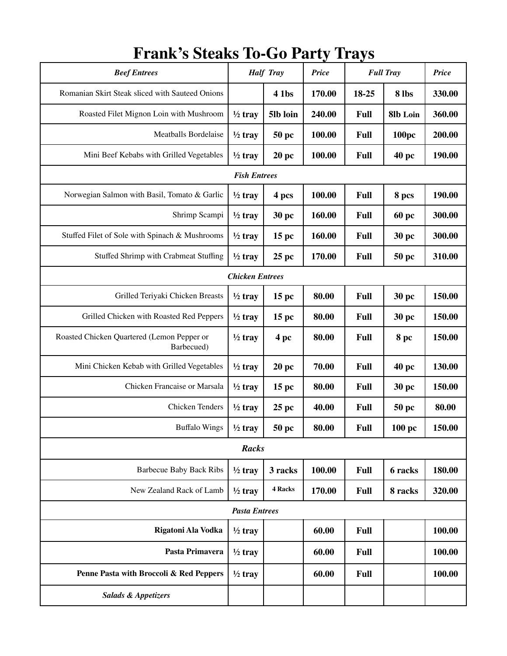| <b>Beef Entrees</b>                                      | <b>Half Tray</b>   |                  | ◡<br><b>Full Tray</b><br><b>Price</b> |             |                    | <b>Price</b> |  |  |  |  |
|----------------------------------------------------------|--------------------|------------------|---------------------------------------|-------------|--------------------|--------------|--|--|--|--|
| Romanian Skirt Steak sliced with Sauteed Onions          |                    | 4 1bs            | 170.00                                | 18-25       | 8 lbs              | 330.00       |  |  |  |  |
| Roasted Filet Mignon Loin with Mushroom                  | $\frac{1}{2}$ tray | 5lb loin         | 240.00                                | <b>Full</b> | 8lb Loin           | 360.00       |  |  |  |  |
| Meatballs Bordelaise                                     | $\frac{1}{2}$ tray | 50 pc            | 100.00                                | <b>Full</b> | <b>100pc</b>       | 200.00       |  |  |  |  |
| Mini Beef Kebabs with Grilled Vegetables                 | $\frac{1}{2}$ tray | 20pc             | 100.00                                | <b>Full</b> | 40 pc              | 190.00       |  |  |  |  |
| <b>Fish Entrees</b>                                      |                    |                  |                                       |             |                    |              |  |  |  |  |
| Norwegian Salmon with Basil, Tomato & Garlic             | $\frac{1}{2}$ tray | 4 pcs            | 100.00                                | <b>Full</b> | 8 pcs              | 190.00       |  |  |  |  |
| Shrimp Scampi                                            | $\frac{1}{2}$ tray | 30 pc            | 160.00                                | <b>Full</b> | <b>60 pc</b>       | 300.00       |  |  |  |  |
| Stuffed Filet of Sole with Spinach & Mushrooms           | $\frac{1}{2}$ tray | $15~\mathrm{pc}$ | 160.00                                | <b>Full</b> | 30 pc              | 300.00       |  |  |  |  |
| Stuffed Shrimp with Crabmeat Stuffing                    | $\frac{1}{2}$ tray | 25 pc            | 170.00                                | <b>Full</b> | 50 pc              | 310.00       |  |  |  |  |
| <b>Chicken Entrees</b>                                   |                    |                  |                                       |             |                    |              |  |  |  |  |
| Grilled Teriyaki Chicken Breasts                         | $\frac{1}{2}$ tray | 15 pc            | 80.00                                 | Full        | 30 pc              | 150.00       |  |  |  |  |
| Grilled Chicken with Roasted Red Peppers                 | $\frac{1}{2}$ tray | $15~\mathrm{pc}$ | 80.00                                 | <b>Full</b> | 30 pc              | 150.00       |  |  |  |  |
| Roasted Chicken Quartered (Lemon Pepper or<br>Barbecued) | $\frac{1}{2}$ tray | 4 pc             | 80.00                                 | <b>Full</b> | 8 pc               | 150.00       |  |  |  |  |
| Mini Chicken Kebab with Grilled Vegetables               | $\frac{1}{2}$ tray | 20pc             | 70.00                                 | <b>Full</b> | 40 pc              | 130.00       |  |  |  |  |
| Chicken Francaise or Marsala                             | $\frac{1}{2}$ tray | 15~pc            | 80.00                                 | <b>Full</b> | 30 pc              | 150.00       |  |  |  |  |
| <b>Chicken Tenders</b>                                   | $\frac{1}{2}$ tray | 25~pc            | 40.00                                 | <b>Full</b> | 50 pc              | 80.00        |  |  |  |  |
| <b>Buffalo Wings</b>                                     | $\frac{1}{2}$ tray | <b>50 pc</b>     | 80.00                                 | <b>Full</b> | $100\;\mathrm{pc}$ | 150.00       |  |  |  |  |
| Racks                                                    |                    |                  |                                       |             |                    |              |  |  |  |  |
| <b>Barbecue Baby Back Ribs</b>                           | $\frac{1}{2}$ tray | 3 racks          | 100.00                                | <b>Full</b> | 6 racks            | 180.00       |  |  |  |  |
| New Zealand Rack of Lamb                                 | $\frac{1}{2}$ tray | 4 Racks          | 170.00                                | <b>Full</b> | 8 racks            | 320.00       |  |  |  |  |
| <b>Pasta Entrees</b>                                     |                    |                  |                                       |             |                    |              |  |  |  |  |
| Rigatoni Ala Vodka                                       | $\frac{1}{2}$ tray |                  | 60.00                                 | <b>Full</b> |                    | 100.00       |  |  |  |  |
| Pasta Primavera                                          | $\frac{1}{2}$ tray |                  | 60.00                                 | <b>Full</b> |                    | 100.00       |  |  |  |  |
| Penne Pasta with Broccoli & Red Peppers                  | $\frac{1}{2}$ tray |                  | 60.00                                 | <b>Full</b> |                    | 100.00       |  |  |  |  |
| <b>Salads &amp; Appetizers</b>                           |                    |                  |                                       |             |                    |              |  |  |  |  |

## **Frank's Steaks To-Go Party Trays**